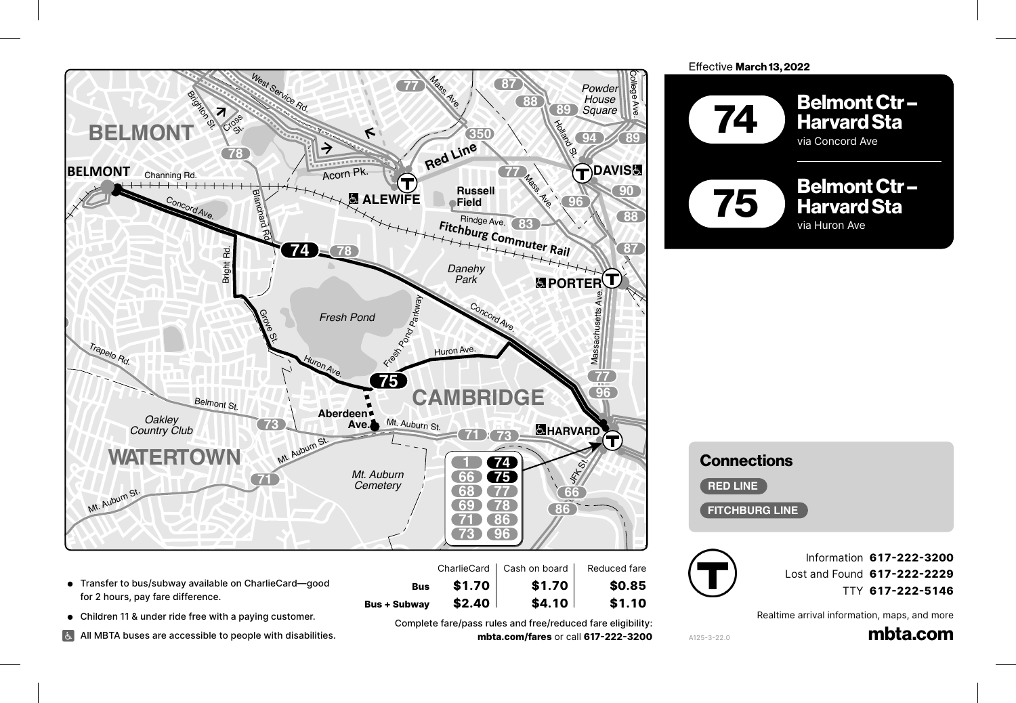

- for 2 hours, pay fare difference. 20
- Children 11 & under ride free with a paying customer.
- All MBTA buses are accessible to people with disabilities.

**Bus + Subway \$2.40 \$4.10** \$1.10<br>Complete fare/pass rules and free/reduced fare eligibility Complete fare/pass rules and free/reduced fare eligibility: **fare/pass rules and free/reduced fare eligibility:<br><b>mbta.com/fares** or call **617-222-3200** 

\$1.70



## Connections **68** *Inman* rections<br>**Rive**

**RED LINE** 

 $\sqrt{\frac{F}{F}}$ **FITCHBURG LINE 91 64** RED L



**Information 617-222-3200** Lost and Found **617-222-2229** TTY **617-222-5146**

ebster

Realtime arrival information, maps, and more **Park**

mbta.com

A125-3-22.0 **47**